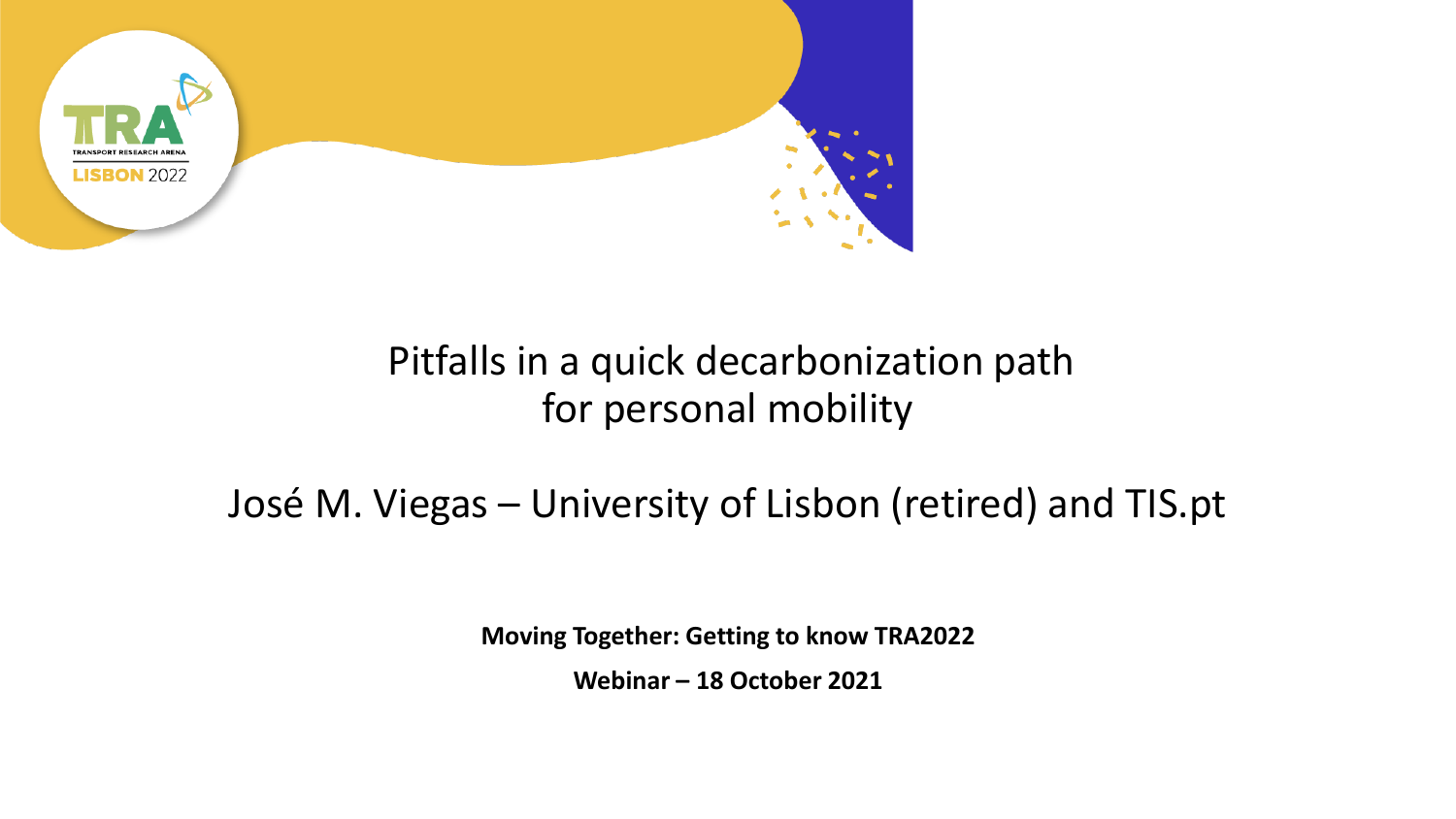

#### Pitfalls in a quick decarbonization path for personal mobility

#### José M. Viegas – University of Lisbon (retired) and TIS.pt

**Moving Together: Getting to know TRA2022** 

**Webinar – 18 October 2021**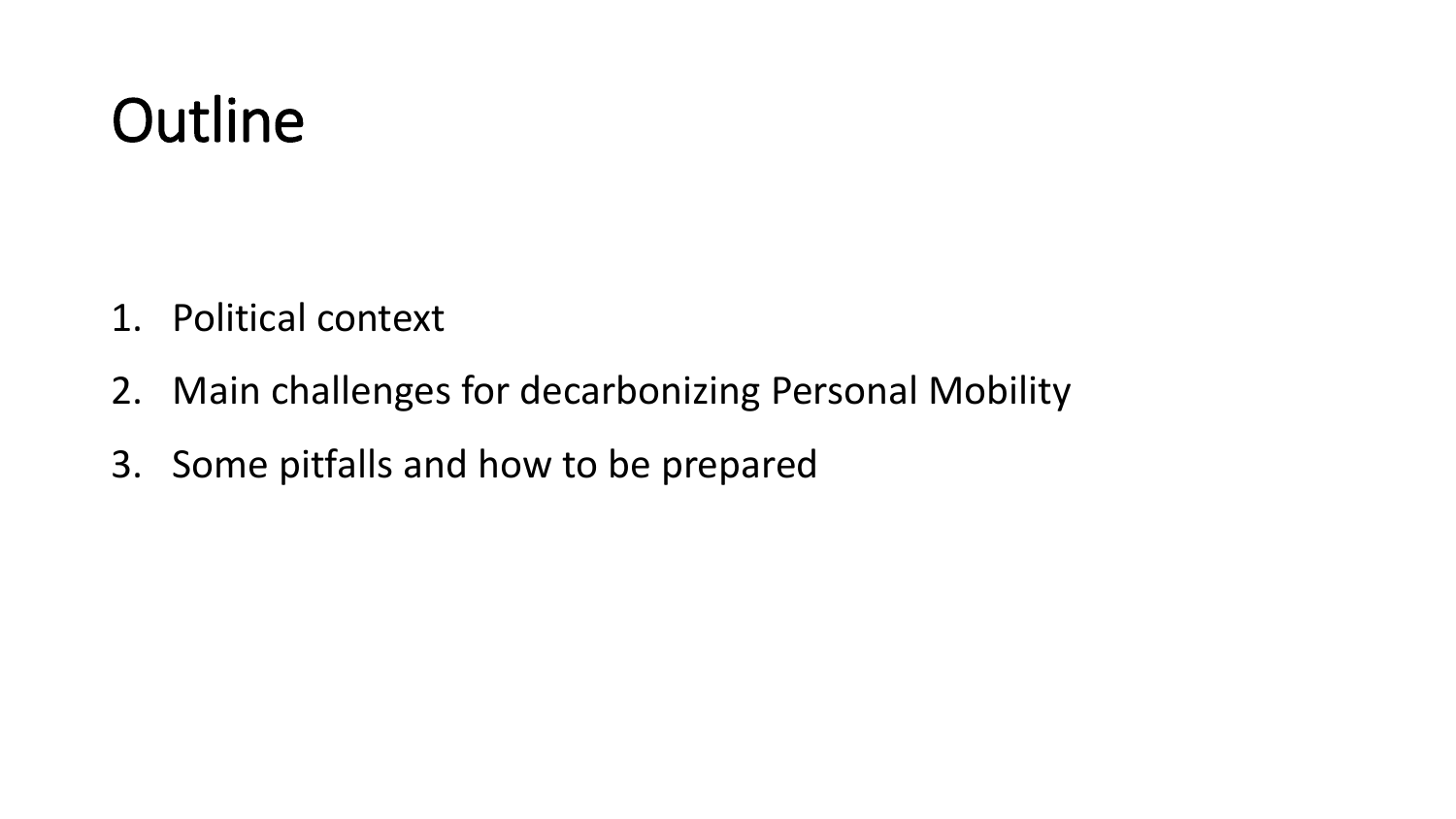## **Outline**

- 1. Political context
- 2. Main challenges for decarbonizing Personal Mobility
- 3. Some pitfalls and how to be prepared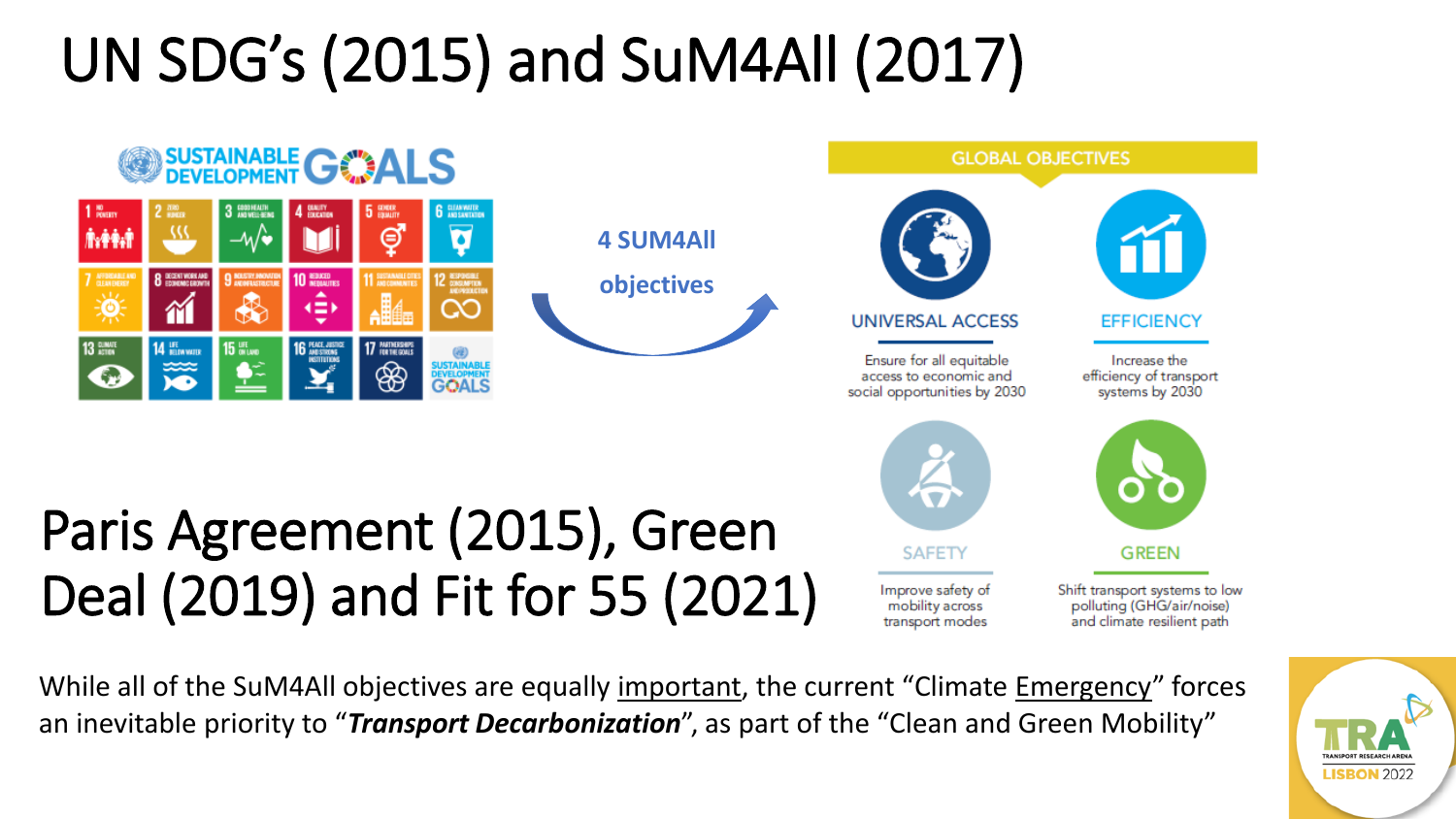# UN SDG's (2015) and SuM4All (2017)



While all of the SuM4All objectives are equally important, the current "Climate Emergency" forces an inevitable priority to "*Transport Decarbonization*", as part of the "Clean and Green Mobility"

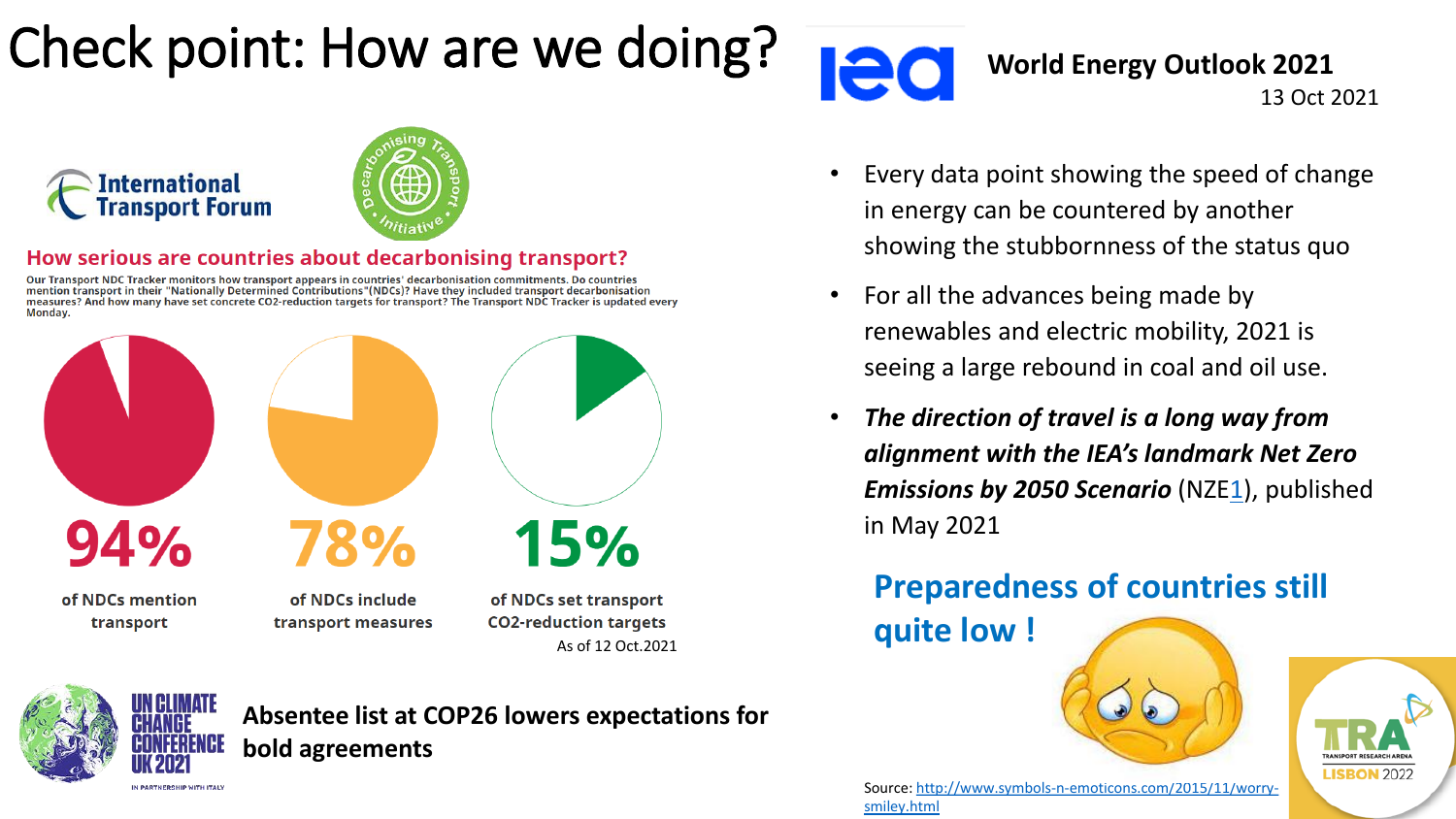#### Check point: How are we doing?



**World Energy Outlook 2021** 13 Oct 2021



#### How serious are countries about decarbonising transport?

Our Transport NDC Tracker monitors how transport appears in countries' decarbonisation commitments. Do countries<br>mention transport in their "Nationally Determined Contributions"(NDCs)? Have they included transport decarbon measures? And how many have set concrete CO2-reduction targets for transport? The Transport NDC Tracker is updated every Monday.





**Absentee list at COP26 lowers expectations for bold agreements**

- Every data point showing the speed of change in energy can be countered by another showing the stubbornness of the status quo
- For all the advances being made by renewables and electric mobility, 2021 is seeing a large rebound in coal and oil use.
- *The direction of travel is a long way from alignment with the IEA's landmark Net Zero Emissions by 2050 Scenario* (NZE[1\)](https://www.iea.org/reports/world-energy-outlook-2021/executive-summary#reference-1), published in May 2021

**Preparedness of countries still** 

**quite low !** 





[Source: http://www.symbols-n-emoticons.com/2015/11/worry](http://www.symbols-n-emoticons.com/2015/11/worry-smiley.html)smiley.html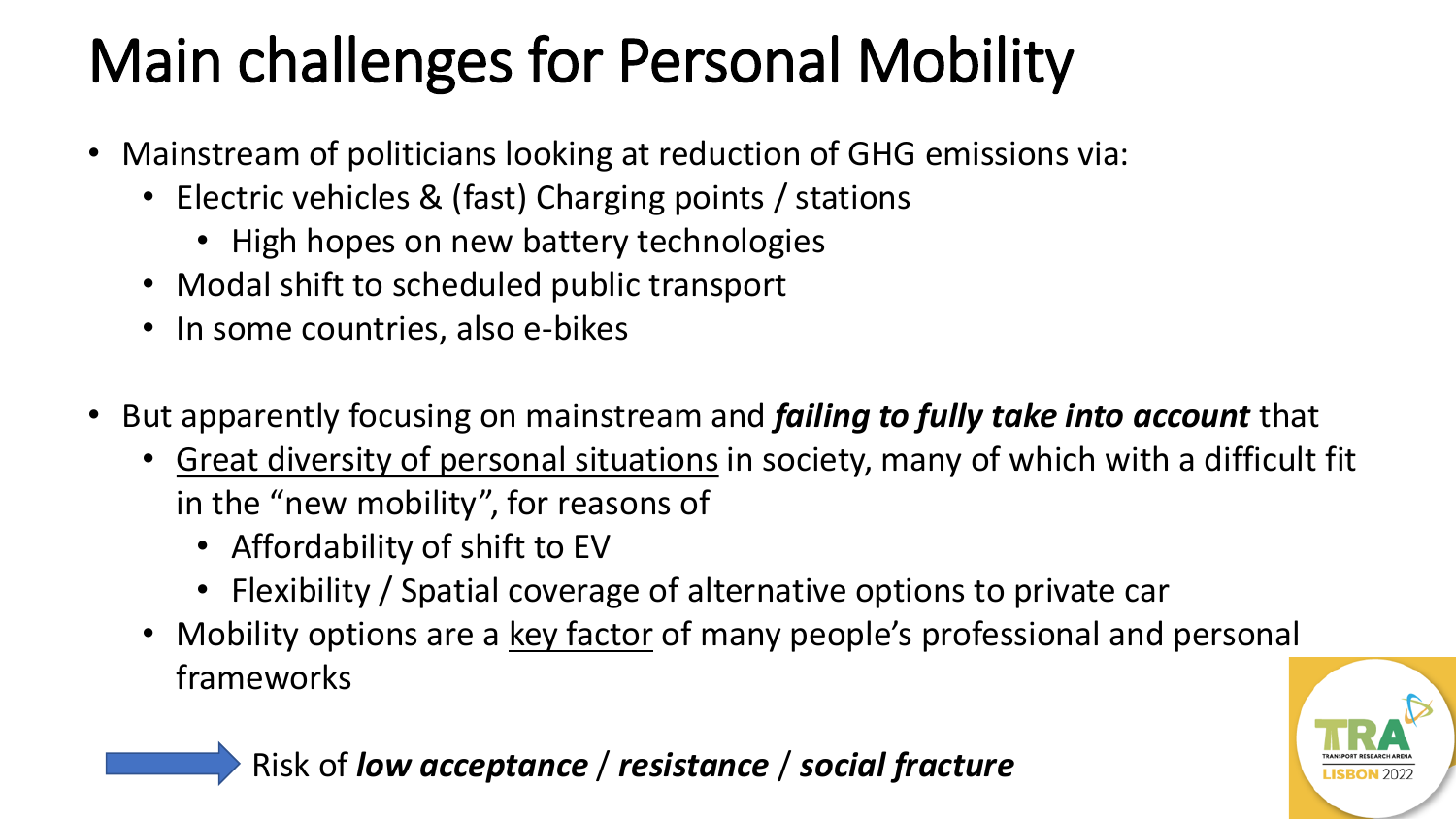# Main challenges for Personal Mobility

- Mainstream of politicians looking at reduction of GHG emissions via:
	- Electric vehicles & (fast) Charging points / stations
		- High hopes on new battery technologies
	- Modal shift to scheduled public transport
	- In some countries, also e-bikes
- But apparently focusing on mainstream and *failing to fully take into account* that
	- Great diversity of personal situations in society, many of which with a difficult fit in the "new mobility", for reasons of
		- Affordability of shift to EV
		- Flexibility / Spatial coverage of alternative options to private car
	- Mobility options are a key factor of many people's professional and personal frameworks



Risk of *low acceptance* / *resistance* / *social fracture*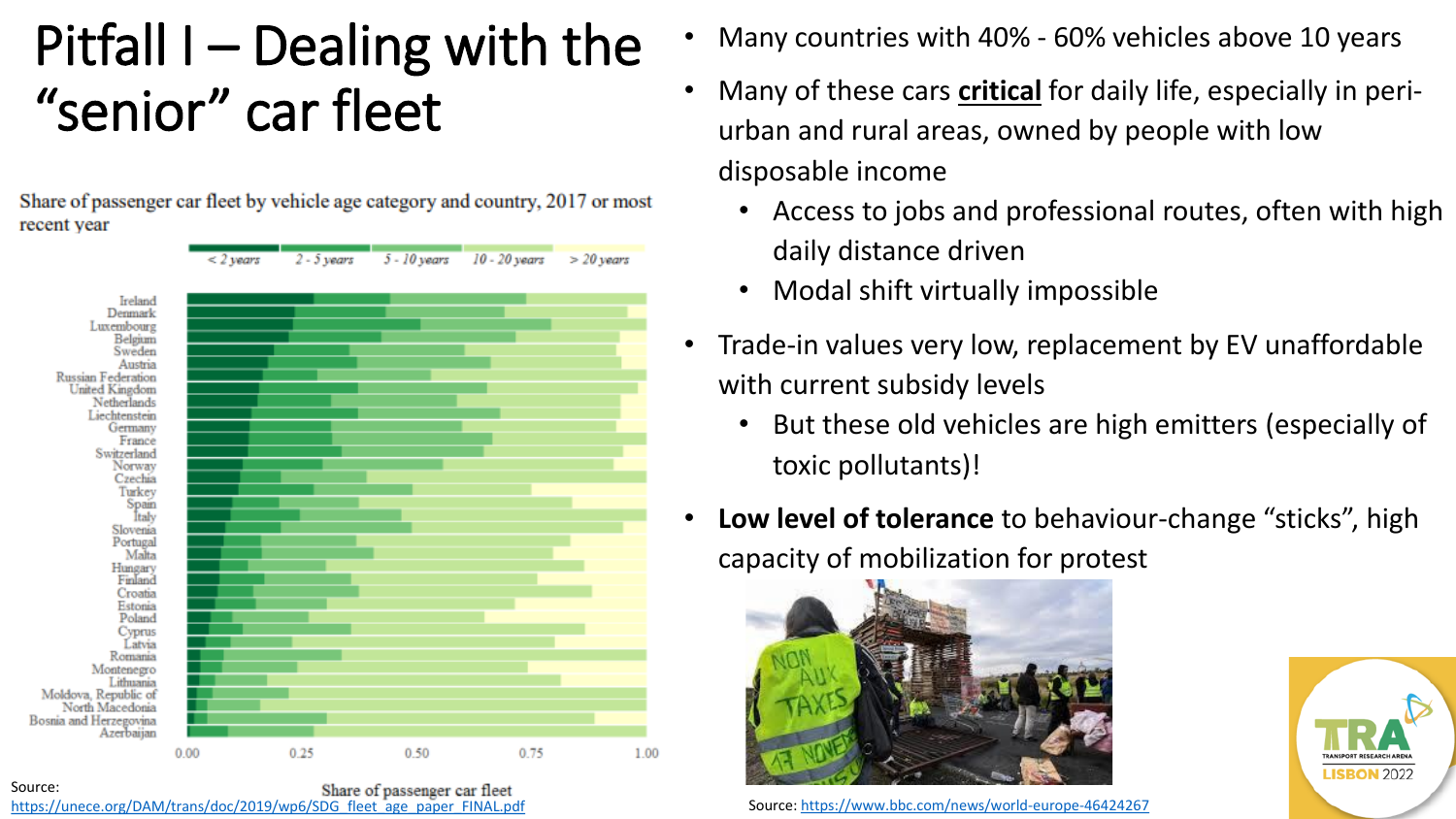#### Pitfall I – Dealing with the "senior" car fleet

Share of passenger car fleet by vehicle age category and country, 2017 or most recent year



Source: Share of passenger car fleet [https://unece.org/DAM/trans/doc/2019/wp6/SDG\\_fleet\\_age\\_paper\\_FINAL.pdf](https://unece.org/DAM/trans/doc/2019/wp6/SDG_fleet_age_paper_FINAL.pdf)

- Many countries with 40% 60% vehicles above 10 years
- Many of these cars **critical** for daily life, especially in periurban and rural areas, owned by people with low disposable income
	- Access to jobs and professional routes, often with high daily distance driven
	- Modal shift virtually impossible
- Trade-in values very low, replacement by EV unaffordable with current subsidy levels
	- But these old vehicles are high emitters (especially of toxic pollutants)!
- **Low level of tolerance** to behaviour-change "sticks", high capacity of mobilization for protest



Source:<https://www.bbc.com/news/world-europe-46424267>

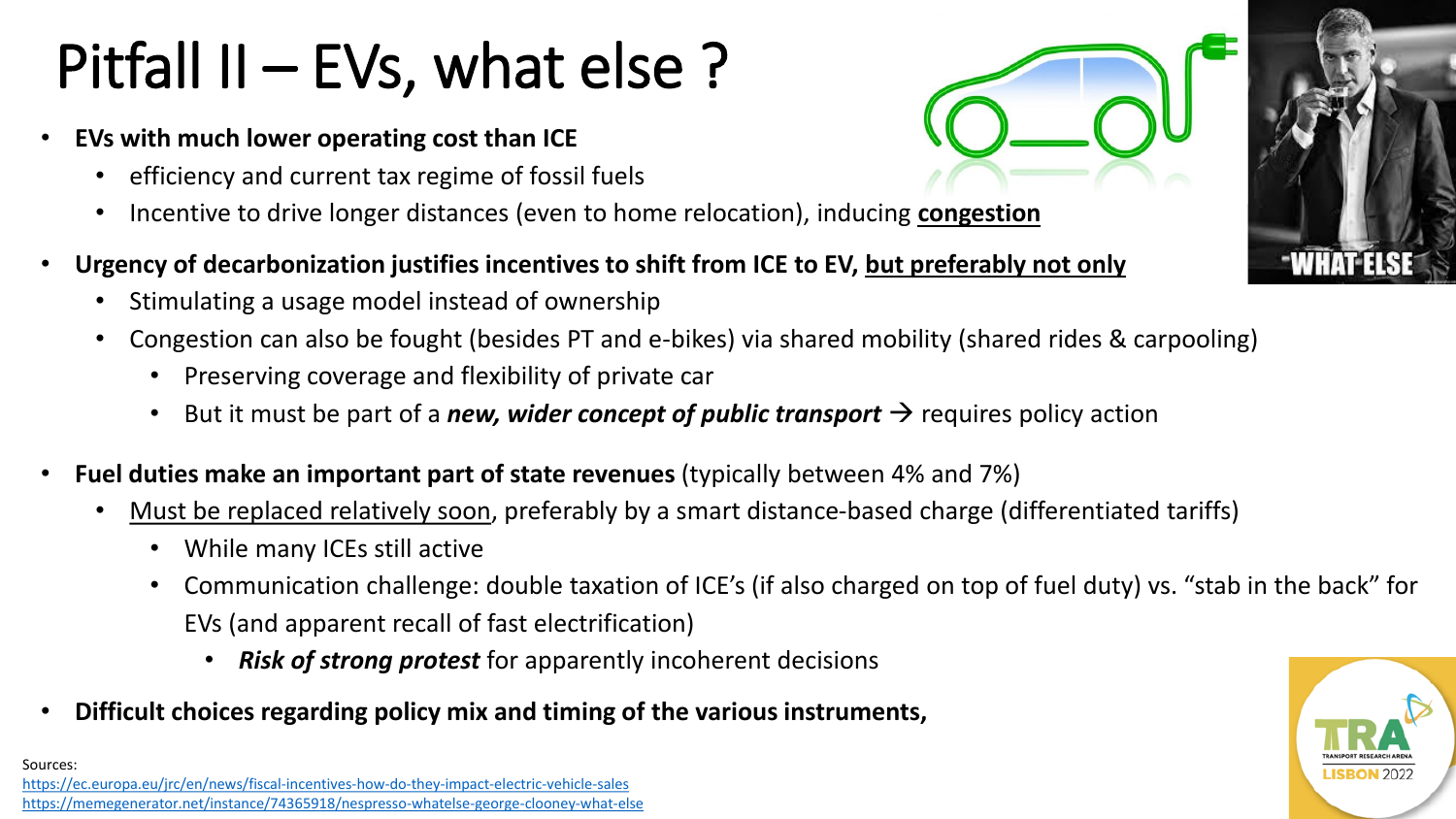# Pitfall II – EVs, what else ?

- **EVs with much lower operating cost than ICE**
	- efficiency and current tax regime of fossil fuels
	- Incentive to drive longer distances (even to home relocation), inducing **congestion**
- **Urgency of decarbonization justifies incentives to shift from ICE to EV, but preferably not only**
	- Stimulating a usage model instead of ownership
	- Congestion can also be fought (besides PT and e-bikes) via shared mobility (shared rides & carpooling)
		- Preserving coverage and flexibility of private car
		- But it must be part of a *new, wider concept of public transport*  $\rightarrow$  requires policy action
- **Fuel duties make an important part of state revenues** (typically between 4% and 7%)
	- Must be replaced relatively soon, preferably by a smart distance-based charge (differentiated tariffs)
		- While many ICEs still active
		- Communication challenge: double taxation of ICE's (if also charged on top of fuel duty) vs. "stab in the back" for EVs (and apparent recall of fast electrification)
			- *Risk of strong protest* for apparently incoherent decisions
- **Difficult choices regarding policy mix and timing of the various instruments,**



Sources: <https://ec.europa.eu/jrc/en/news/fiscal-incentives-how-do-they-impact-electric-vehicle-sales> <https://memegenerator.net/instance/74365918/nespresso-whatelse-george-clooney-what-else>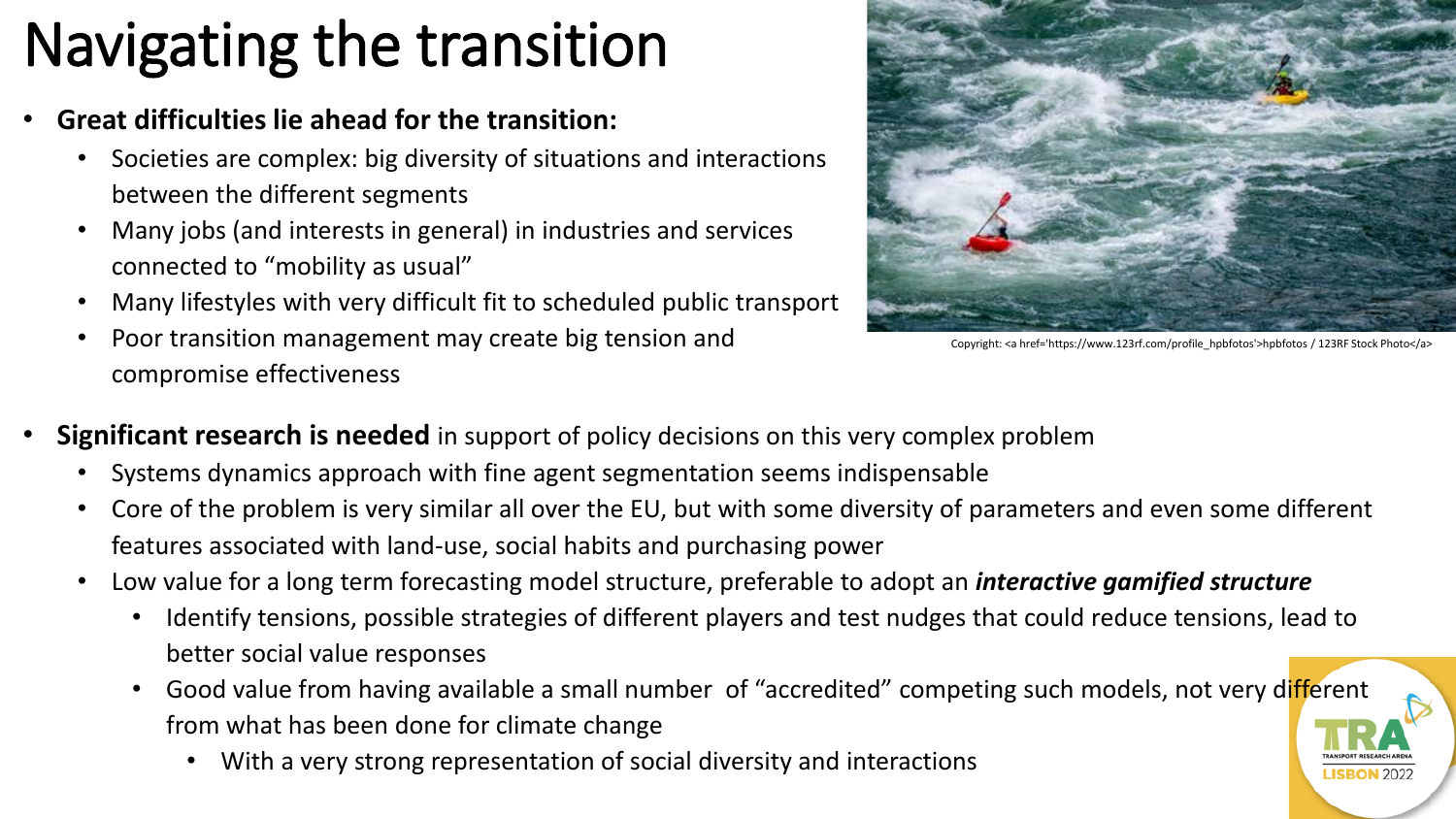# Navigating the transition

- **Great difficulties lie ahead for the transition:**
	- Societies are complex: big diversity of situations and interactions between the different segments
	- Many jobs (and interests in general) in industries and services connected to "mobility as usual"
	- Many lifestyles with very difficult fit to scheduled public transport
	- Poor transition management may create big tension and compromise effectiveness



Copyright: <a href='https://www.123rf.com/profile\_hpbfotos'>hpbfotos / 123RF Stock Photo</a>

- **Significant research is needed** in support of policy decisions on this very complex problem
	- Systems dynamics approach with fine agent segmentation seems indispensable
	- Core of the problem is very similar all over the EU, but with some diversity of parameters and even some different features associated with land-use, social habits and purchasing power
	- Low value for a long term forecasting model structure, preferable to adopt an *interactive gamified structure*
		- Identify tensions, possible strategies of different players and test nudges that could reduce tensions, lead to better social value responses
		- Good value from having available a small number of "accredited" competing such models, not very different from what has been done for climate change
			- With a very strong representation of social diversity and interactions

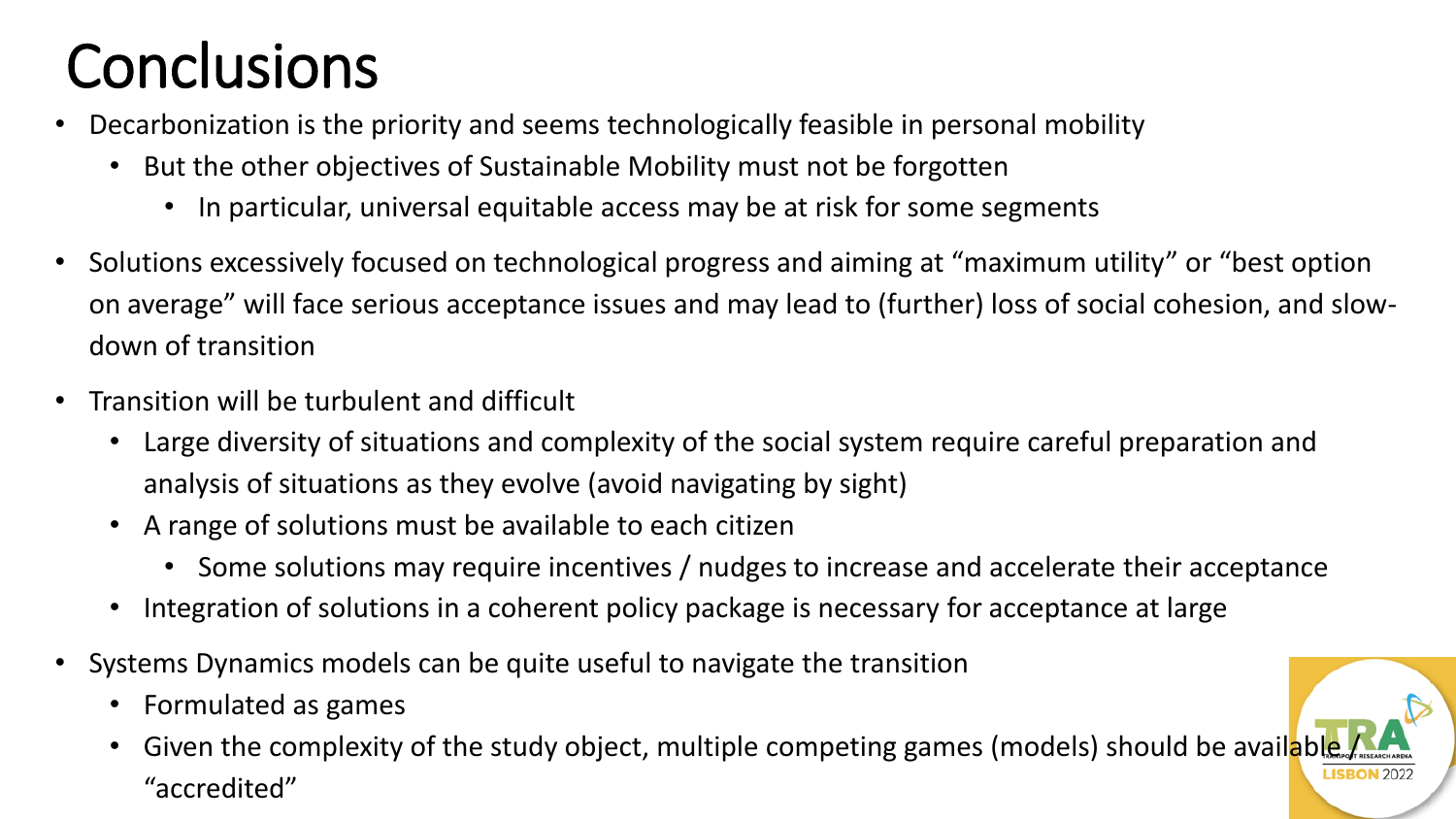# **Conclusions**

- Decarbonization is the priority and seems technologically feasible in personal mobility
	- But the other objectives of Sustainable Mobility must not be forgotten
		- In particular, universal equitable access may be at risk for some segments
- Solutions excessively focused on technological progress and aiming at "maximum utility" or "best option on average" will face serious acceptance issues and may lead to (further) loss of social cohesion, and slowdown of transition
- Transition will be turbulent and difficult
	- Large diversity of situations and complexity of the social system require careful preparation and analysis of situations as they evolve (avoid navigating by sight)
	- A range of solutions must be available to each citizen
		- Some solutions may require incentives / nudges to increase and accelerate their acceptance
	- Integration of solutions in a coherent policy package is necessary for acceptance at large
- Systems Dynamics models can be quite useful to navigate the transition
	- Formulated as games
	- Given the complexity of the study object, multiple competing games (models) should be available "accredited"